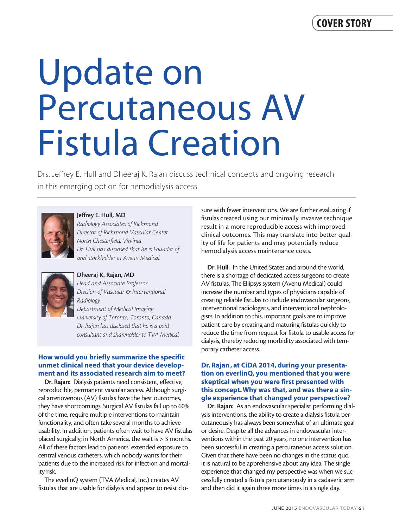# Update on Percutaneous AV Fistula Creation

Drs. Jeffrey E. Hull and Dheeraj K. Rajan discuss technical concepts and ongoing research in this emerging option for hemodialysis access.



Jeffrey E. Hull, MD

*Radiology Associates of Richmond Director of Richmond Vascular Center North Chesterfield, Virginia Dr. Hull has disclosed that he is Founder of and stockholder in Avenu Medical.*



# Dheeraj K. Rajan, MD

*Head and Associate Professor Division of Vascular & Interventional Radiology Department of Medical Imaging University of Toronto, Toronto, Canada Dr. Rajan has disclosed that he is a paid consultant and shareholder to TVA Medical.* 

## How would you briefly summarize the specific unmet clinical need that your device development and its associated research aim to meet?

Dr. Rajan: Dialysis patients need consistent, effective, reproducible, permanent vascular access. Although surgical arteriovenous (AV) fistulas have the best outcomes, they have shortcomings. Surgical AV fistulas fail up to 60% of the time, require multiple interventions to maintain functionality, and often take several months to achieve usability. In addition, patients often wait to have AV fistulas placed surgically; in North America, the wait is > 3 months. All of these factors lead to patients' extended exposure to central venous catheters, which nobody wants for their patients due to the increased risk for infection and mortality risk.

The everlinQ system (TVA Medical, Inc.) creates AV fistulas that are usable for dialysis and appear to resist closure with fewer interventions. We are further evaluating if fistulas created using our minimally invasive technique result in a more reproducible access with improved clinical outcomes. This may translate into better quality of life for patients and may potentially reduce hemodialysis access maintenance costs.

Dr. Hull: In the United States and around the world, there is a shortage of dedicated access surgeons to create AV fistulas. The Ellipsys system (Avenu Medical) could increase the number and types of physicians capable of creating reliable fistulas to include endovascular surgeons, interventional radiologists, and interventional nephrologists. In addition to this, important goals are to improve patient care by creating and maturing fistulas quickly to reduce the time from request for fistula to usable access for dialysis, thereby reducing morbidity associated with temporary catheter access.

## Dr. Rajan, at CiDA 2014, during your presentation on everlinQ, you mentioned that you were skeptical when you were first presented with this concept. Why was that, and was there a single experience that changed your perspective?

Dr. Rajan: As an endovascular specialist performing dialysis interventions, the ability to create a dialysis fistula percutaneously has always been somewhat of an ultimate goal or desire. Despite all the advances in endovascular interventions within the past 20 years, no one intervention has been successful in creating a percutaneous access solution. Given that there have been no changes in the status quo, it is natural to be apprehensive about any idea. The single experience that changed my perspective was when we successfully created a fistula percutaneously in a cadaveric arm and then did it again three more times in a single day.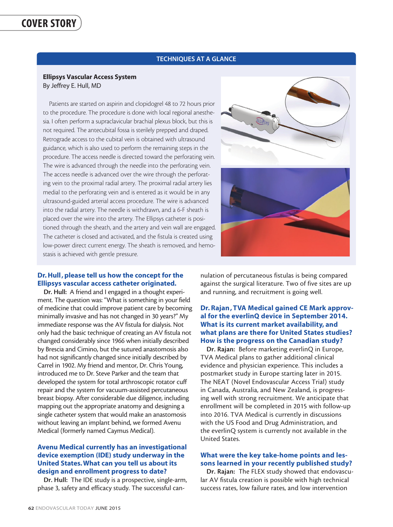#### TECHNIQUES AT A GLANCE

#### Ellipsys Vascular Access System By Jeffrey E. Hull, MD

Patients are started on aspirin and clopidogrel 48 to 72 hours prior to the procedure. The procedure is done with local regional anesthesia. I often perform a supraclavicular brachial plexus block, but this is not required. The antecubital fossa is sterilely prepped and draped. Retrograde access to the cubital vein is obtained with ultrasound guidance, which is also used to perform the remaining steps in the procedure. The access needle is directed toward the perforating vein. The wire is advanced through the needle into the perforating vein. The access needle is advanced over the wire through the perforating vein to the proximal radial artery. The proximal radial artery lies medial to the perforating vein and is entered as it would be in any ultrasound-guided arterial access procedure. The wire is advanced into the radial artery. The needle is withdrawn, and a 6-F sheath is placed over the wire into the artery. The Ellipsys catheter is positioned through the sheath, and the artery and vein wall are engaged. The catheter is closed and activated, and the fistula is created using low-power direct current energy. The sheath is removed, and hemostasis is achieved with gentle pressure.





#### Dr. Hull, please tell us how the concept for the Ellipsys vascular access catheter originated.

Dr. Hull: A friend and I engaged in a thought experiment. The question was: "What is something in your field of medicine that could improve patient care by becoming minimally invasive and has not changed in 30 years?" My immediate response was the AV fistula for dialysis. Not only had the basic technique of creating an AV fistula not changed considerably since 1966 when initially described by Brescia and Cimino, but the sutured anastomosis also had not significantly changed since initially described by Carrel in 1902. My friend and mentor, Dr. Chris Young, introduced me to Dr. Steve Parker and the team that developed the system for total arthroscopic rotator cuff repair and the system for vacuum-assisted percutaneous breast biopsy. After considerable due diligence, including mapping out the appropriate anatomy and designing a single catheter system that would make an anastomosis without leaving an implant behind, we formed Avenu Medical (formerly named Caymus Medical).

# Avenu Medical currently has an investigational device exemption (IDE) study underway in the United States. What can you tell us about its design and enrollment progress to date?

Dr. Hull: The IDE study is a prospective, single-arm, phase 3, safety and efficacy study. The successful cannulation of percutaneous fistulas is being compared against the surgical literature. Two of five sites are up and running, and recruitment is going well.

#### Dr. Rajan , TVA Medical gained CE Mark approval for the everlinQ device in September 2014. What is its current market availability, and what plans are there for United States studies? How is the progress on the Canadian study?

Dr. Rajan: Before marketing everlinQ in Europe, TVA Medical plans to gather additional clinical evidence and physician experience. This includes a postmarket study in Europe starting later in 2015. The NEAT (Novel Endovascular Access Trial) study in Canada, Australia, and New Zealand, is progressing well with strong recruitment. We anticipate that enrollment will be completed in 2015 with follow-up into 2016. TVA Medical is currently in discussions with the US Food and Drug Administration, and the everlinQ system is currently not available in the United States.

# What were the key take-home points and lessons learned in your recently published study?

Dr. Rajan: The FLEX study showed that endovascular AV fistula creation is possible with high technical success rates, low failure rates, and low intervention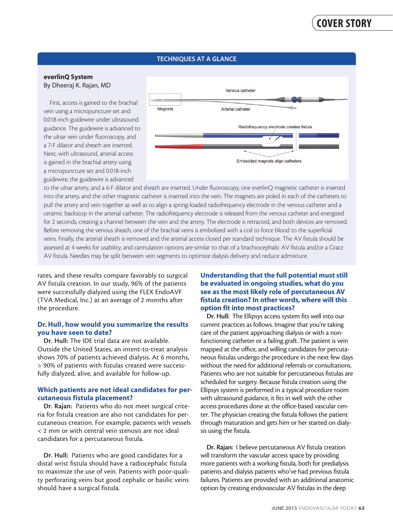## TECHNIQUES AT A GLANCE

#### everlinQ System By Dheeraj K. Rajan, MD

First, access is gained to the brachial vein using a micropuncture set and 0.018-inch guidewire under ultrasound guidance. The guidewire is advanced to the ulnar vein under fluoroscopy, and a 7-F dilator and sheath are inserted. Next, with ultrasound, arterial access is gained in the brachial artery using a micropuncture set and 0.018-inch guidewire, the guidewire is advanced



to the ulnar artery, and a 6-F dilator and sheath are inserted. Under fluoroscopy, one everlinQ magnetic catheter is inserted into the artery, and the other magnetic catheter is inserted into the vein. The magnets are poled in each of the catheters to pull the artery and vein together as well as to align a spring-loaded radiofrequency electrode in the venous catheter and a ceramic backstop in the arterial catheter. The radiofrequency electrode is released from the venous catheter and energized for 2 seconds, creating a channel between the vein and the artery. The electrode is retracted, and both devices are removed. Before removing the venous sheath, one of the brachial veins is embolized with a coil to force blood to the superficial veins. Finally, the arterial sheath is removed and the arterial access closed per standard technique. The AV fistula should be assessed at 4 weeks for usability, and cannulation options are similar to that of a brachiocephalic AV fistula and/or a Gracz AV fistula. Needles may be split between vein segments to optimize dialysis delivery and reduce admixture.

rates, and these results compare favorably to surgical AV fistula creation. In our study, 96% of the patients were successfully dialyzed using the FLEX EndoAVF (TVA Medical, Inc.) at an average of 2 months after the procedure.

#### Dr. Hull, how would you summarize the results you have seen to date?

Dr. Hull: The IDE trial data are not available. Outside the United States, an intent-to-treat analysis shows 70% of patients achieved dialysis. At 6 months, > 90% of patients with fistulas created were successfully dialyzed, alive, and available for follow-up.

## Which patients are not ideal candidates for percutaneous fistula placement?

Dr. Rajan: Patients who do not meet surgical criteria for fistula creation are also not candidates for percutaneous creation. For example, patients with vessels < 2 mm or with central vein stenosis are not ideal candidates for a percutaneous fistula.

Dr. Hull: Patients who are good candidates for a distal wrist fistula should have a radiocephalic fistula to maximize the use of vein. Patients with poor-quality perforating veins but good cephalic or basilic veins should have a surgical fistula.

# Understanding that the full potential must still be evaluated in ongoing studies, what do you see as the most likely role of percutaneous AV fistula creation? In other words, where will this option fit into most practices?

Dr. Hull: The Ellipsys access system fits well into our current practices as follows. Imagine that you're taking care of the patient approaching dialysis or with a nonfunctioning catheter or a failing graft. The patient is vein mapped at the office, and willing candidates for percutaneous fistulas undergo the procedure in the next few days without the need for additional referrals or consultations. Patients who are not suitable for percutaneous fistulas are scheduled for surgery. Because fistula creation using the Ellipsys system is performed in a typical procedure room with ultrasound guidance, it fits in well with the other access procedures done at the office-based vascular center. The physician creating the fistula follows the patient through maturation and gets him or her started on dialysis using the fistula.

Dr. Rajan: I believe percutaneous AV fistula creation will transform the vascular access space by providing more patients with a working fistula, both for predialysis patients and dialysis patients who've had previous fistula failures. Patients are provided with an additional anatomic option by creating endovascular AV fistulas in the deep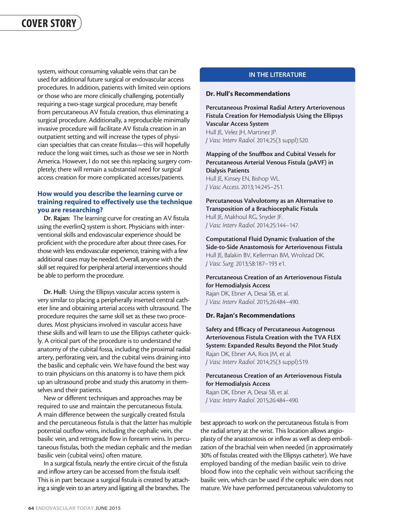system, without consuming valuable veins that can be used for additional future surgical or endovascular access procedures. In addition, patients with limited vein options or those who are more clinically challenging, potentially requiring a two-stage surgical procedure, may benefit from percutaneous AV fistula creation, thus eliminating a surgical procedure. Additionally, a reproducible minimally invasive procedure will facilitate AV fistula creation in an outpatient setting and will increase the types of physician specialties that can create fistulas—this will hopefully reduce the long wait times, such as those we see in North America. However, I do not see this replacing surgery completely; there will remain a substantial need for surgical access creation for more complicated accesses/patients.

# How would you describe the learning curve or training required to effectively use the technique you are researching?

Dr. Rajan: The learning curve for creating an AV fistula using the everlinQ system is short. Physicians with interventional skills and endovascular experience should be proficient with the procedure after about three cases. For those with less endovascular experience, training with a few additional cases may be needed. Overall, anyone with the skill set required for peripheral arterial interventions should be able to perform the procedure.

Dr. Hull: Using the Ellipsys vascular access system is very similar to placing a peripherally inserted central catheter line and obtaining arterial access with ultrasound. The procedure requires the same skill set as these two procedures. Most physicians involved in vascular access have these skills and will learn to use the Ellipsys catheter quickly. A critical part of the procedure is to understand the anatomy of the cubital fossa, including the proximal radial artery, perforating vein, and the cubital veins draining into the basilic and cephalic vein. We have found the best way to train physicians on this anatomy is to have them pick up an ultrasound probe and study this anatomy in themselves and their patients.

New or different techniques and approaches may be required to use and maintain the percutaneous fistula. A main difference between the surgically created fistula and the percutaneous fistula is that the latter has multiple potential outflow veins, including the cephalic vein, the basilic vein, and retrograde flow in forearm veins. In percutaneous fistulas, both the median cephalic and the median basilic vein (cubital veins) often mature.

In a surgical fistula, nearly the entire circuit of the fistula and inflow artery can be accessed from the fistula itself. This is in part because a surgical fistula is created by attaching a single vein to an artery and ligating all the branches. The

## IN THE LITERATURE

#### Dr. Hull's Recommendations

Percutaneous Proximal Radial Artery Arteriovenous Fistula Creation for Hemodialysis Using the Ellipsys Vascular Access System Hull JE, Velez JH, Martinez JP. *J Vasc Interv Radiol*. 2014;25(3 suppl):S20.

Mapping of the Snuffbox and Cubital Vessels for Percutaneous Arterial Venous Fistula (pAVF) in Dialysis Patients Hull JE, Kinsey EN, Bishop WL. *J Vasc Access*. 2013;14:245–251.

Percutaneous Valvulotomy as an Alternative to Transposition of a Brachiocephalic Fistula Hull JE, Makhoul RG, Snyder JF. *J Vasc Interv Radiol*. 2014;25:144–147.

Computational Fluid Dynamic Evaluation of the Side-to-Side Anastomosis for Arteriovenous Fistula Hull JE, Balakin BV, Kellerman BM, Wrolstad DK. *J Vasc Surg*. 2013;58:187–193 e1.

#### Percutaneous Creation of an Arteriovenous Fistula for Hemodialysis Access

Rajan DK, Ebner A, Desai SB, et al. *J Vasc Interv Radiol*. 2015;26:484–490.

#### Dr. Rajan's Recommendations

Safety and Efficacy of Percutaneous Autogenous Arteriovenous Fistula Creation with the TVA FLEX System: Expanded Results Beyond the Pilot Study Rajan DK, Ebner AA, Rios JM, et al. *J Vasc Interv Radiol*. 2014;25(3 suppl):S19.

#### Percutaneous Creation of an Arteriovenous Fistula for Hemodialysis Access

Rajan DK, Ebner A, Desai SB, et al. *J Vasc Interv Radiol*. 2015;26:484–490.

best approach to work on the percutaneous fistula is from the radial artery at the wrist. This location allows angioplasty of the anastomosis or inflow as well as deep embolization of the brachial vein when needed (in approximately 30% of fistulas created with the Ellipsys catheter). We have employed banding of the median basilic vein to drive blood flow into the cephalic vein without sacrificing the basilic vein, which can be used if the cephalic vein does not mature. We have performed percutaneous valvulotomy to